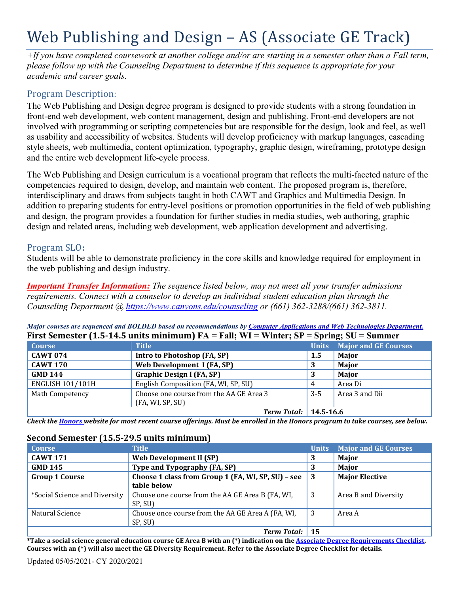# Web Publishing and Design – AS (Associate GE Track)

*+If you have completed coursework at another college and/or are starting in a semester other than a Fall term, please follow up with the Counseling Department to determine if this sequence is appropriate for your academic and career goals.* 

# Program Description:

The Web Publishing and Design degree program is designed to provide students with a strong foundation in front-end web development, web content management, design and publishing. Front-end developers are not involved with programming or scripting competencies but are responsible for the design, look and feel, as well as usability and accessibility of websites. Students will develop proficiency with markup languages, cascading style sheets, web multimedia, content optimization, typography, graphic design, wireframing, prototype design and the entire web development life-cycle process.

The Web Publishing and Design curriculum is a vocational program that reflects the multi-faceted nature of the competencies required to design, develop, and maintain web content. The proposed program is, therefore, interdisciplinary and draws from subjects taught in both CAWT and Graphics and Multimedia Design. In addition to preparing students for entry-level positions or promotion opportunities in the field of web publishing and design, the program provides a foundation for further studies in media studies, web authoring, graphic design and related areas, including web development, web application development and advertising.

# Program SLO**:**

Students will be able to demonstrate proficiency in the core skills and knowledge required for employment in the web publishing and design industry.

*Important Transfer Information: The sequence listed below, may not meet all your transfer admissions requirements. Connect with a counselor to develop an individual student education plan through the Counseling Department @<https://www.canyons.edu/counseling> or (661) 362-3288/(661) 362-3811.*

*Major courses are sequenced and BOLDED based on recommendations by [Computer Applications and Web Technologies Department.](https://www.canyons.edu/academics/computerapplications/index.php)*  **First Semester (1.5-14.5 units minimum) FA = Fall; WI = Winter; SP = Spring; SU = Summer**

| <b>Course</b>           | <b>Title</b>                            |       | <b>Units</b> Major and GE Courses |
|-------------------------|-----------------------------------------|-------|-----------------------------------|
| <b>CAWT 074</b>         | Intro to Photoshop (FA, SP)             | 1.5   | <b>Major</b>                      |
| <b>CAWT 170</b>         | Web Development I (FA, SP)              | -3    | <b>Major</b>                      |
| <b>GMD 144</b>          | <b>Graphic Design I (FA, SP)</b>        |       | <b>Major</b>                      |
| <b>ENGLISH 101/101H</b> | English Composition (FA, WI, SP, SU)    | 4     | Area Di                           |
| Math Competency         | Choose one course from the AA GE Area 3 | $3-5$ | Area 3 and Dii                    |
|                         | (FA, WI, SP, SU)                        |       |                                   |
|                         | <b>Term Total: 14.5-16.6</b>            |       |                                   |

*Check the [Honors w](https://www.canyons.edu/academics/honors/index.php)ebsite for most recent course offerings. Must be enrolled in the Honors program to take courses, see below.*

#### **Second Semester (15.5-29.5 units minimum)**

| <b>Course</b>                 | <b>Title</b>                                                      | <b>Units</b> | <b>Major and GE Courses</b> |
|-------------------------------|-------------------------------------------------------------------|--------------|-----------------------------|
| <b>CAWT 171</b>               | <b>Web Development II (SP)</b>                                    | 3            | Major                       |
| <b>GMD 145</b>                | Type and Typography (FA, SP)                                      |              | Major                       |
| <b>Group 1 Course</b>         | Choose 1 class from Group 1 (FA, WI, SP, SU) - see<br>table below | 3            | <b>Major Elective</b>       |
| *Social Science and Diversity | Choose one course from the AA GE Area B (FA, WI,<br>SP, SU)       | 3            | Area B and Diversity        |
| Natural Science               | Choose once course from the AA GE Area A (FA, WI,<br>SP, SU)      | 3            | Area A                      |
|                               | <b>Term Total:</b>                                                | -15          |                             |

**\*Take a social science general education course GE Area B with an (\*) indication on th[e Associate Degree Requirements Checklist.](https://www.canyons.edu/studentservices/counseling/degrees/generaled.php)  Courses with an (\*) will also meet the GE Diversity Requirement. Refer to the Associate Degree Checklist for details.**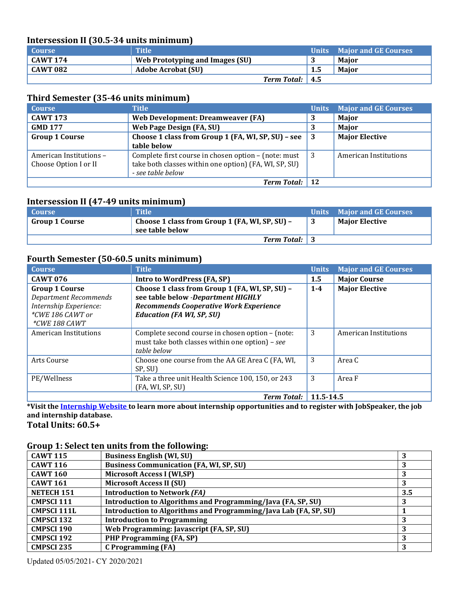### **Intersession II (30.5-34 units minimum)**

| <b>Course</b>   | Title                           |     | Units Major and GE Courses |
|-----------------|---------------------------------|-----|----------------------------|
| <b>CAWT 174</b> | Web Prototyping and Images (SU) |     | Maior                      |
| <b>CAWT 082</b> | Adobe Acrobat (SU)              | 1.5 | <b>Maior</b>               |
|                 | Term Total: 4.5                 |     |                            |

### **Third Semester (35-46 units minimum)**

| <b>Course</b>                                    | Title                                                                                                                              | <b>Units</b> | <b>Major and GE Courses</b>  |
|--------------------------------------------------|------------------------------------------------------------------------------------------------------------------------------------|--------------|------------------------------|
| <b>CAWT 173</b>                                  | Web Development: Dreamweaver (FA)                                                                                                  | 3            | <b>Major</b>                 |
| <b>GMD 177</b>                                   | <b>Web Page Design (FA, SU)</b>                                                                                                    | 3            | Major                        |
| <b>Group 1 Course</b>                            | Choose 1 class from Group 1 (FA, WI, SP, SU) - see<br>table below                                                                  | 3            | <b>Major Elective</b>        |
| American Institutions -<br>Choose Option I or II | Complete first course in chosen option - (note: must<br>take both classes within one option) (FA, WI, SP, SU)<br>- see table below | 3            | <b>American Institutions</b> |
|                                                  | <b>Term Total:</b>                                                                                                                 |              |                              |

## **Intersession II (47-49 units minimum)**

| <b>Course</b>  | Title                                                             | Units Major and GE Courses |
|----------------|-------------------------------------------------------------------|----------------------------|
| Group 1 Course | Choose 1 class from Group 1 (FA, WI, SP, SU) -<br>see table below | <b>Maior Elective</b>      |
|                | <b>Term Total:</b> 3                                              |                            |

## **Fourth Semester (50-60.5 units minimum)**

| <b>Course</b>                | <b>Title</b>                                      | <b>Units</b> | <b>Major and GE Courses</b> |
|------------------------------|---------------------------------------------------|--------------|-----------------------------|
| <b>CAWT 076</b>              | Intro to WordPress (FA, SP)                       | 1.5          | <b>Major Course</b>         |
| <b>Group 1 Course</b>        | Choose 1 class from Group 1 (FA, WI, SP, SU) -    | $1 - 4$      | <b>Major Elective</b>       |
| <b>Department Recommends</b> | see table below -Department HIGHLY                |              |                             |
| Internship Experience:       | <b>Recommends Cooperative Work Experience</b>     |              |                             |
| $*CWE$ 186 CAWT or           | <b>Education (FA WI, SP, SU)</b>                  |              |                             |
| <i>*CWE 188 CAWT</i>         |                                                   |              |                             |
| American Institutions        | Complete second course in chosen option - (note:  | 3            | American Institutions       |
|                              | must take both classes within one option) - see   |              |                             |
|                              | table below                                       |              |                             |
| Arts Course                  | Choose one course from the AA GE Area C (FA, WI,  | 3            | Area C                      |
|                              | SP, SU)                                           |              |                             |
| PE/Wellness                  | Take a three unit Health Science 100, 150, or 243 | 3            | Area F                      |
|                              | (FA, WI, SP, SU)                                  |              |                             |
|                              | <b>Term Total: 11.5-14.5</b>                      |              |                             |

**\*Visit th[e Internship Website t](https://www.canyons.edu/studentservices/internships/index.php)o learn more about internship opportunities and to register with JobSpeaker, the job and internship database.**

**Total Units: 60.5+**

# **Group 1: Select ten units from the following:**

| <b>CAWT 115</b>    | <b>Business English (WI, SU)</b>                                 |     |
|--------------------|------------------------------------------------------------------|-----|
| <b>CAWT 116</b>    | <b>Business Communication (FA, WI, SP, SU)</b>                   |     |
| <b>CAWT 160</b>    | <b>Microsoft Access I (WI,SP)</b>                                |     |
| <b>CAWT 161</b>    | <b>Microsoft Access II (SU)</b>                                  |     |
| NETECH 151         | <b>Introduction to Network (FA)</b>                              | 3.5 |
| <b>CMPSCI 111</b>  | Introduction to Algorithms and Programming/Java (FA, SP, SU)     |     |
| <b>CMPSCI 111L</b> | Introduction to Algorithms and Programming/Java Lab (FA, SP, SU) |     |
| <b>CMPSCI 132</b>  | <b>Introduction to Programming</b>                               |     |
| <b>CMPSCI 190</b>  | Web Programming: Javascript (FA, SP, SU)                         |     |
| <b>CMPSCI 192</b>  | PHP Programming (FA, SP)                                         | 3   |
| <b>CMPSCI 235</b>  | <b>C</b> Programming (FA)                                        |     |

Updated 05/05/2021- CY 2020/2021